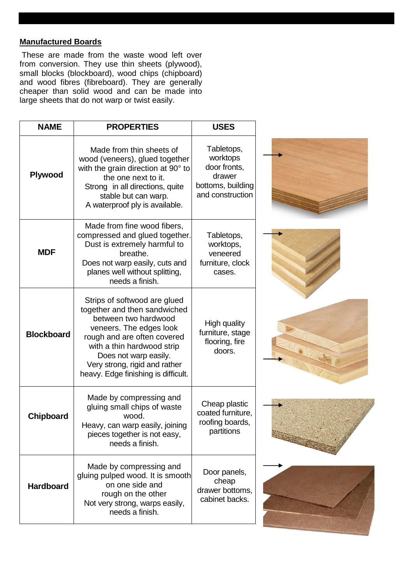## **Manufactured Boards**

These are made from the waste wood left over from conversion. They use thin sheets (plywood), small blocks (blockboard), wood chips (chipboard) and wood fibres (fibreboard). They are generally cheaper than solid wood and can be made into large sheets that do not warp or twist easily.

| <b>NAME</b>       | <b>PROPERTIES</b>                                                                                                                                                                                                                                                             | <b>USES</b>                                                                               |  |
|-------------------|-------------------------------------------------------------------------------------------------------------------------------------------------------------------------------------------------------------------------------------------------------------------------------|-------------------------------------------------------------------------------------------|--|
| Plywood           | Made from thin sheets of<br>wood (veneers), glued together<br>with the grain direction at 90° to<br>the one next to it.<br>Strong in all directions, quite<br>stable but can warp.<br>A waterproof ply is available.                                                          | Tabletops,<br>worktops<br>door fronts,<br>drawer<br>bottoms, building<br>and construction |  |
| <b>MDF</b>        | Made from fine wood fibers,<br>compressed and glued together.<br>Dust is extremely harmful to<br>breathe.<br>Does not warp easily, cuts and<br>planes well without splitting,<br>needs a finish.                                                                              | Tabletops,<br>worktops,<br>veneered<br>furniture, clock<br>cases.                         |  |
| <b>Blockboard</b> | Strips of softwood are glued<br>together and then sandwiched<br>between two hardwood<br>veneers. The edges look<br>rough and are often covered<br>with a thin hardwood strip<br>Does not warp easily.<br>Very strong, rigid and rather<br>heavy. Edge finishing is difficult. | High quality<br>furniture, stage<br>flooring, fire<br>doors.                              |  |
| <b>Chipboard</b>  | Made by compressing and<br>gluing small chips of waste<br>wood.<br>Heavy, can warp easily, joining<br>pieces together is not easy,<br>needs a finish.                                                                                                                         | Cheap plastic<br>coated furniture,<br>roofing boards,<br>partitions                       |  |
| <b>Hardboard</b>  | Made by compressing and<br>gluing pulped wood. It is smooth<br>on one side and<br>rough on the other<br>Not very strong, warps easily,<br>needs a finish.                                                                                                                     | Door panels,<br>cheap<br>drawer bottoms,<br>cabinet backs.                                |  |